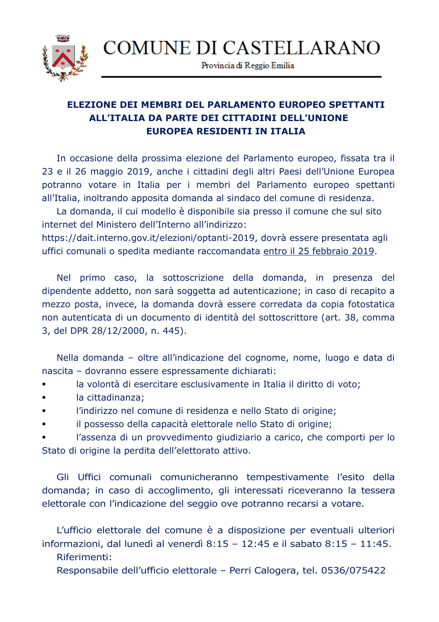**COMUNE DI CASTELLARANO** 



Provincia di Reggio Emilia

## **ELEZIONE DEI MEMBRI DEL PARLAMENTO EUROPEO SPETTANTI ALL'ITALIA DA PARTE DEI CITTADINI DELL'UNIONE EUROPEA RESIDENTI IN ITALIA**

In occasione della prossima elezione del Parlamento europeo, fissata tra il 23 e il 26 maggio 2019, anche i cittadini degli altri Paesi dell'Unione Europea potranno votare in Italia per i membri del Parlamento europeo spettanti all'Italia, inoltrando apposita domanda al sindaco del comune di residenza.

La domanda, il cui modello è disponibile sia presso il comune che sul sito internet del Ministero dell'Interno all'indirizzo:

https://dait.interno.gov.it/elezioni/optanti-2019, dovrà essere presentata agli uffici comunali o spedita mediante raccomandata entro il 25 febbraio 2019.

Nel primo caso, la sottoscrizione della domanda, in presenza del dipendente addetto, non sarà soggetta ad autenticazione; in caso di recapito a mezzo posta, invece, la domanda dovrà essere corredata da copia fotostatica non autenticata di un documento di identità del sottoscrittore (art. 38, comma 3, del DPR 28/12/2000, n. 445).

Nella domanda – oltre all'indicazione del cognome, nome, luogo e data di nascita – dovranno essere espressamente dichiarati:

la volontà di esercitare esclusivamente in Italia il diritto di voto;

- la cittadinanza;
- l'indirizzo nel comune di residenza e nello Stato di origine;
- il possesso della capacità elettorale nello Stato di origine;

 l'assenza di un provvedimento giudiziario a carico, che comporti per lo Stato di origine la perdita dell'elettorato attivo.

Gli Uffici comunali comunicheranno tempestivamente l'esito della domanda; in caso di accoglimento, gli interessati riceveranno la tessera elettorale con l'indicazione del seggio ove potranno recarsi a votare.

L'ufficio elettorale del comune è a disposizione per eventuali ulteriori informazioni, dal lunedì al venerdì 8:15 – 12:45 e il sabato 8:15 – 11:45.

Riferimenti:

Responsabile dell'ufficio elettorale – Perri Calogera, tel. 0536/075422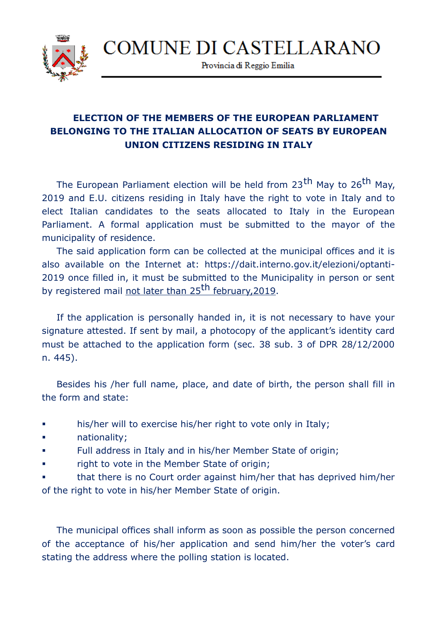

Provincia di Reggio Emilia

## **ELECTION OF THE MEMBERS OF THE EUROPEAN PARLIAMENT BELONGING TO THE ITALIAN ALLOCATION OF SEATS BY EUROPEAN UNION CITIZENS RESIDING IN ITALY**

The European Parliament election will be held from 23<sup>th</sup> May to 26<sup>th</sup> May, 2019 and E.U. citizens residing in Italy have the right to vote in Italy and to elect Italian candidates to the seats allocated to Italy in the European Parliament. A formal application must be submitted to the mayor of the municipality of residence.

The said application form can be collected at the municipal offices and it is also available on the Internet at: https://dait.interno.gov.it/elezioni/optanti-2019 once filled in, it must be submitted to the Municipality in person or sent by registered mail not later than 25<sup>th</sup> february, 2019.

If the application is personally handed in, it is not necessary to have your signature attested. If sent by mail, a photocopy of the applicant's identity card must be attached to the application form (sec. 38 sub. 3 of DPR 28/12/2000 n. 445).

Besides his /her full name, place, and date of birth, the person shall fill in the form and state:

- his/her will to exercise his/her right to vote only in Italy;
- **nationality**:
- Full address in Italy and in his/her Member State of origin;
- right to vote in the Member State of origin;
- that there is no Court order against him/her that has deprived him/her of the right to vote in his/her Member State of origin.

The municipal offices shall inform as soon as possible the person concerned of the acceptance of his/her application and send him/her the voter's card stating the address where the polling station is located.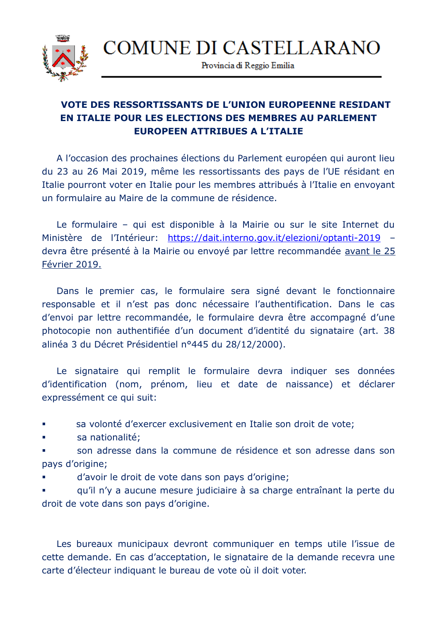

Provincia di Reggio Emilia

## **VOTE DES RESSORTISSANTS DE L'UNION EUROPEENNE RESIDANT EN ITALIE POUR LES ELECTIONS DES MEMBRES AU PARLEMENT EUROPEEN ATTRIBUES A L'ITALIE**

A l'occasion des prochaines élections du Parlement européen qui auront lieu du 23 au 26 Mai 2019, même les ressortissants des pays de l'UE résidant en Italie pourront voter en Italie pour les membres attribués à l'Italie en envoyant un formulaire au Maire de la commune de résidence.

Le formulaire – qui est disponible à la Mairie ou sur le site Internet du Ministère de l'Intérieur:<https://dait.interno.gov.it/elezioni/optanti-2019>devra être présenté à la Mairie ou envoyé par lettre recommandée avant le 25 Février 2019.

Dans le premier cas, le formulaire sera signé devant le fonctionnaire responsable et il n'est pas donc nécessaire l'authentification. Dans le cas d'envoi par lettre recommandée, le formulaire devra être accompagné d'une photocopie non authentifiée d'un document d'identité du signataire (art. 38 alinéa 3 du Décret Présidentiel n°445 du 28/12/2000).

Le signataire qui remplit le formulaire devra indiquer ses données d'identification (nom, prénom, lieu et date de naissance) et déclarer expressément ce qui suit:

sa volonté d'exercer exclusivement en Italie son droit de vote;

sa nationalité;

 son adresse dans la commune de résidence et son adresse dans son pays d'origine;

d'avoir le droit de vote dans son pays d'origine;

 qu'il n'y a aucune mesure judiciaire à sa charge entraînant la perte du droit de vote dans son pays d'origine.

Les bureaux municipaux devront communiquer en temps utile l'issue de cette demande. En cas d'acceptation, le signataire de la demande recevra une carte d'électeur indiquant le bureau de vote où il doit voter.